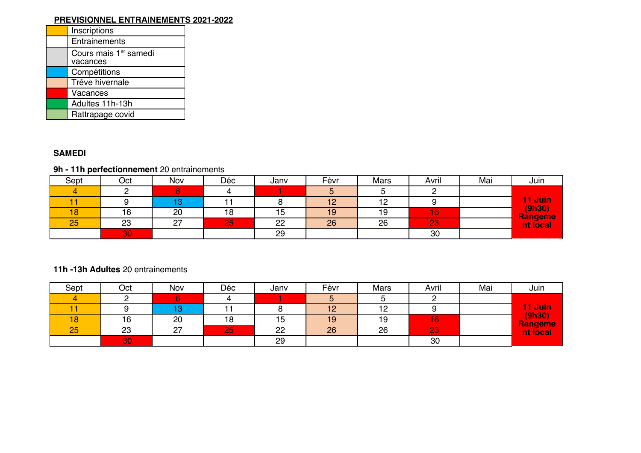## **PREVISIONNEL ENTRAINEMENTS 2021-2022**

| Inscriptions                      |
|-----------------------------------|
| Entrainements                     |
| Cours mais 1er samedi<br>vacances |
| Compétitions                      |
| Trêve hivernale                   |
| Vacances                          |
| Adultes 11h-13h                   |
| Rattrapage covid                  |
|                                   |

## **SAMEDI**

# **9h - 11h perfectionnement** 20 entrainements

| Sept | Oct | Nov       | Déc | Janv | Févr | <b>Mars</b>    | Avril | Mai | Juin                       |
|------|-----|-----------|-----|------|------|----------------|-------|-----|----------------------------|
|      |     |           |     |      |      |                |       |     |                            |
|      |     |           |     |      | $-$  | $\overline{ }$ |       |     | 11 Juin                    |
| 18   | 16  | 20        | 18  | 15   | 19   | 19             | 16    |     | (9h30)                     |
| 25   | 23  | 07<br>ا ے | 25  | 22   | 26   | 26             | 23    |     | <u>Rangeme</u><br>nt local |
|      | 30  |           |     | 29   |      |                | 30    |     |                            |

#### **11h -13h Adultes** 20 entrainements

| Sept | Oct | Nov | Déc | Janv | Févr | Mars | Avril | Mai | Juin                           |
|------|-----|-----|-----|------|------|------|-------|-----|--------------------------------|
|      |     |     |     |      |      |      |       |     |                                |
|      |     | . . |     |      | 12   | 12   |       |     | <mark>l1 Juin</mark><br>(9h30) |
| 18   | 16  | 20  | 18  | 15   | 19   | 19   | 16    |     |                                |
| 25   | 23  | 27  | 25  | 22   | 26   | 26   | 23    |     | <b>Rangeme</b><br>nt local     |
|      | 30  |     |     | 29   |      |      | 30    |     |                                |